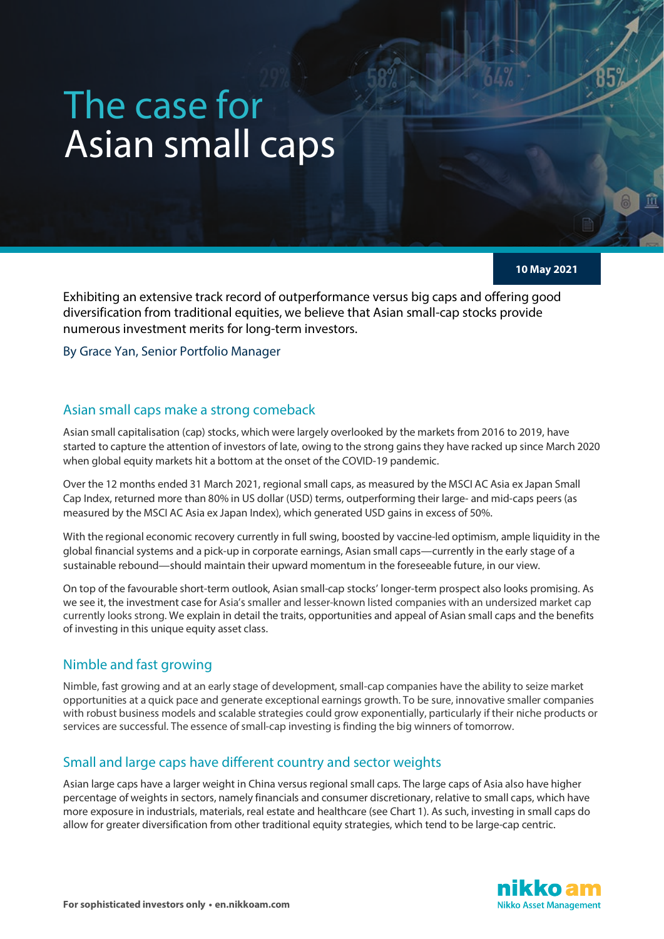# The case for Asian small caps

**10 May 2021**

Exhibiting an extensive track record of outperformance versus big caps and offering good diversification from traditional equities, we believe that Asian small-cap stocks provide numerous investment merits for long-term investors.

By Grace Yan, Senior Portfolio Manager

## Asian small caps make a strong comeback

Asian small capitalisation (cap) stocks, which were largely overlooked by the markets from 2016 to 2019, have started to capture the attention of investors of late, owing to the strong gains they have racked up since March 2020 when global equity markets hit a bottom at the onset of the COVID-19 pandemic.

Over the 12 months ended 31 March 2021, regional small caps, as measured by the MSCI AC Asia ex Japan Small Cap Index, returned more than 80% in US dollar (USD) terms, outperforming their large- and mid-caps peers (as measured by the MSCI AC Asia ex Japan Index), which generated USD gains in excess of 50%.

With the regional economic recovery currently in full swing, boosted by vaccine-led optimism, ample liquidity in the global financial systems and a pick-up in corporate earnings, Asian small caps—currently in the early stage of a sustainable rebound—should maintain their upward momentum in the foreseeable future, in our view.

On top of the favourable short-term outlook, Asian small-cap stocks' longer-term prospect also looks promising. As we see it, the investment case for Asia's smaller and lesser-known listed companies with an undersized market cap currently looks strong. We explain in detail the traits, opportunities and appeal of Asian small caps and the benefits of investing in this unique equity asset class.

## Nimble and fast growing

Nimble, fast growing and at an early stage of development, small-cap companies have the ability to seize market opportunities at a quick pace and generate exceptional earnings growth. To be sure, innovative smaller companies with robust business models and scalable strategies could grow exponentially, particularly if their niche products or services are successful. The essence of small-cap investing is finding the big winners of tomorrow.

## Small and large caps have different country and sector weights

Asian large caps have a larger weight in China versus regional small caps. The large caps of Asia also have higher percentage of weights in sectors, namely financials and consumer discretionary, relative to small caps, which have more exposure in industrials, materials, real estate and healthcare (see Chart 1). As such, investing in small caps do allow for greater diversification from other traditional equity strategies, which tend to be large-cap centric.

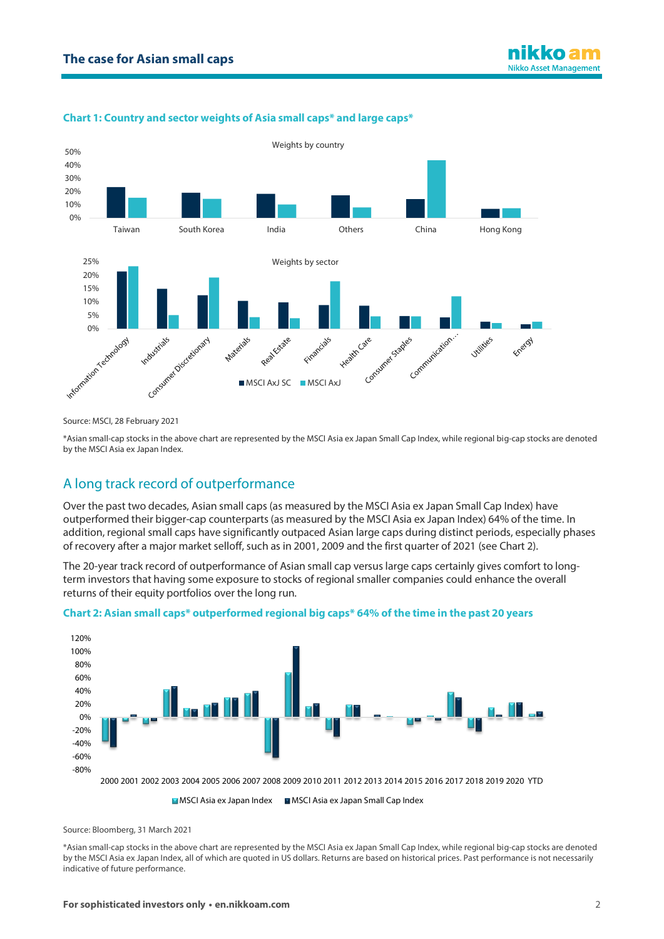

#### **Chart 1: Country and sector weights of Asia small caps\* and large caps\***

Source: MSCI, 28 February 2021

\*Asian small-cap stocks in the above chart are represented by the MSCI Asia ex Japan Small Cap Index, while regional big-cap stocks are denoted by the MSCI Asia ex Japan Index.

# A long track record of outperformance

Over the past two decades, Asian small caps (as measured by the MSCI Asia ex Japan Small Cap Index) have outperformed their bigger-cap counterparts (as measured by the MSCI Asia ex Japan Index) 64% of the time. In addition, regional small caps have significantly outpaced Asian large caps during distinct periods, especially phases of recovery after a major market selloff, such as in 2001, 2009 and the first quarter of 2021 (see Chart 2).

The 20-year track record of outperformance of Asian small cap versus large caps certainly gives comfort to longterm investors that having some exposure to stocks of regional smaller companies could enhance the overall returns of their equity portfolios over the long run.





MSCI Asia ex Japan Index MSCI Asia ex Japan Small Cap Index

Source: Bloomberg, 31 March 2021

\*Asian small-cap stocks in the above chart are represented by the MSCI Asia ex Japan Small Cap Index, while regional big-cap stocks are denoted by the MSCI Asia ex Japan Index, all of which are quoted in US dollars. Returns are based on historical prices. Past performance is not necessarily indicative of future performance.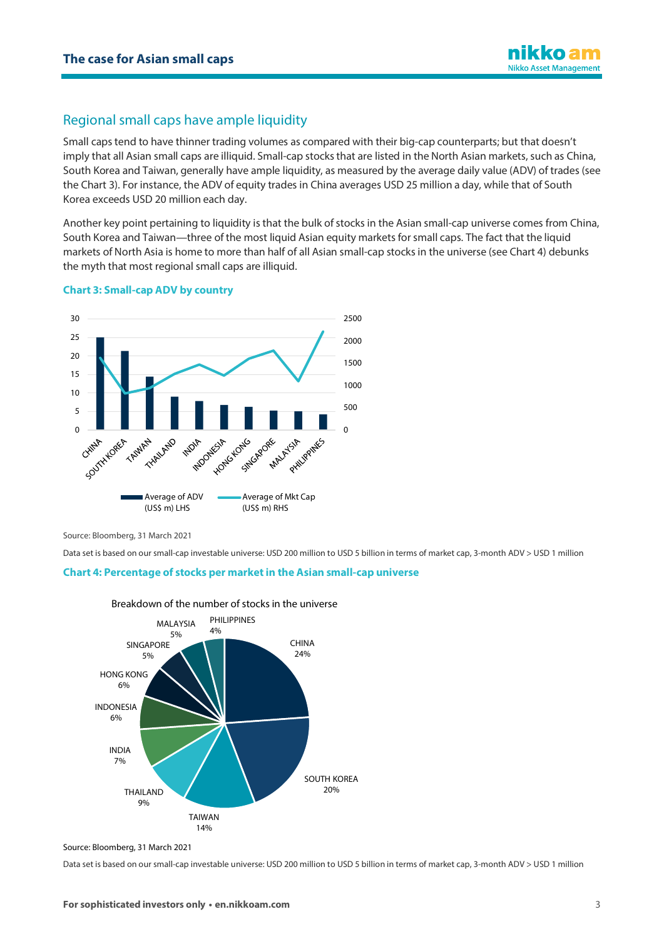# Regional small caps have ample liquidity

Small caps tend to have thinner trading volumes as compared with their big-cap counterparts; but that doesn't imply that all Asian small caps are illiquid. Small-cap stocks that are listed in the North Asian markets, such as China, South Korea and Taiwan, generally have ample liquidity, as measured by the average daily value (ADV) of trades (see the Chart 3). For instance, the ADV of equity trades in China averages USD 25 million a day, while that of South Korea exceeds USD 20 million each day.

Another key point pertaining to liquidity is that the bulk of stocks in the Asian small-cap universe comes from China, South Korea and Taiwan—three of the most liquid Asian equity markets for small caps. The fact that the liquid markets of North Asia is home to more than half of all Asian small-cap stocks in the universe (see Chart 4) debunks the myth that most regional small caps are illiquid.

#### **Chart 3: Small-cap ADV by country**



Source: Bloomberg, 31 March 2021

Data set is based on our small-cap investable universe: USD 200 million to USD 5 billion in terms of market cap, 3-month ADV > USD 1 million

#### **Chart 4: Percentage of stocks per marketin the Asian small-cap universe**



Breakdown of the number of stocks in the universe

Data set is based on our small-cap investable universe: USD 200 million to USD 5 billion in terms of market cap, 3-month ADV > USD 1 million

Source: Bloomberg, 31 March 2021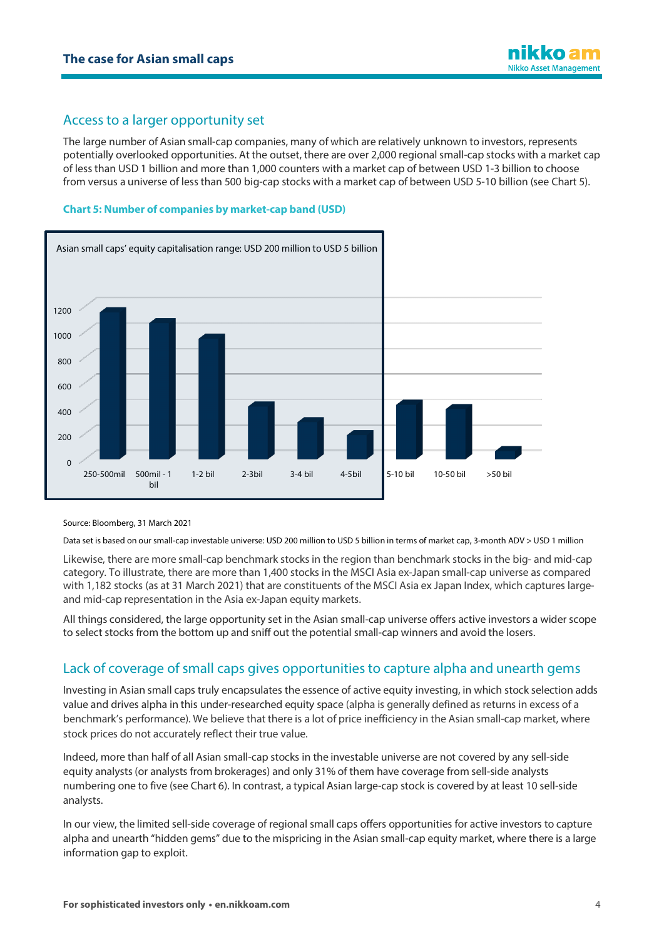## Access to a larger opportunity set

The large number of Asian small-cap companies, many of which are relatively unknown to investors, represents potentially overlooked opportunities. At the outset, there are over 2,000 regional small-cap stocks with a market cap of less than USD 1 billion and more than 1,000 counters with a market cap of between USD 1-3 billion to choose from versus a universe of less than 500 big-cap stocks with a market cap of between USD 5-10 billion (see Chart 5).

#### **Chart 5: Number of companies by market-cap band (USD)**



Source: Bloomberg, 31 March 2021

Data set is based on our small-cap investable universe: USD 200 million to USD 5 billion in terms of market cap, 3-month ADV > USD 1 million

Likewise, there are more small-cap benchmark stocks in the region than benchmark stocks in the big- and mid-cap category. To illustrate, there are more than 1,400 stocks in the MSCI Asia ex-Japan small-cap universe as compared with 1,182 stocks (as at 31 March 2021) that are constituents of the MSCI Asia ex Japan Index, which captures largeand mid-cap representation in the Asia ex-Japan equity markets.

All things considered, the large opportunity set in the Asian small-cap universe offers active investors a wider scope to select stocks from the bottom up and sniff out the potential small-cap winners and avoid the losers.

# Lack of coverage of small caps gives opportunities to capture alpha and unearth gems

Investing in Asian small caps truly encapsulates the essence of active equity investing, in which stock selection adds value and drives alpha in this under-researched equity space (alpha is generally defined as returns in excess of a benchmark's performance). We believe that there is a lot of price inefficiency in the Asian small-cap market, where stock prices do not accurately reflect their true value.

Indeed, more than half of all Asian small-cap stocks in the investable universe are not covered by any sell-side equity analysts (or analysts from brokerages) and only 31% of them have coverage from sell-side analysts numbering one to five (see Chart 6). In contrast, a typical Asian large-cap stock is covered by at least 10 sell-side analysts.

In our view, the limited sell-side coverage of regional small caps offers opportunities for active investors to capture alpha and unearth "hidden gems" due to the mispricing in the Asian small-cap equity market, where there is a large information gap to exploit.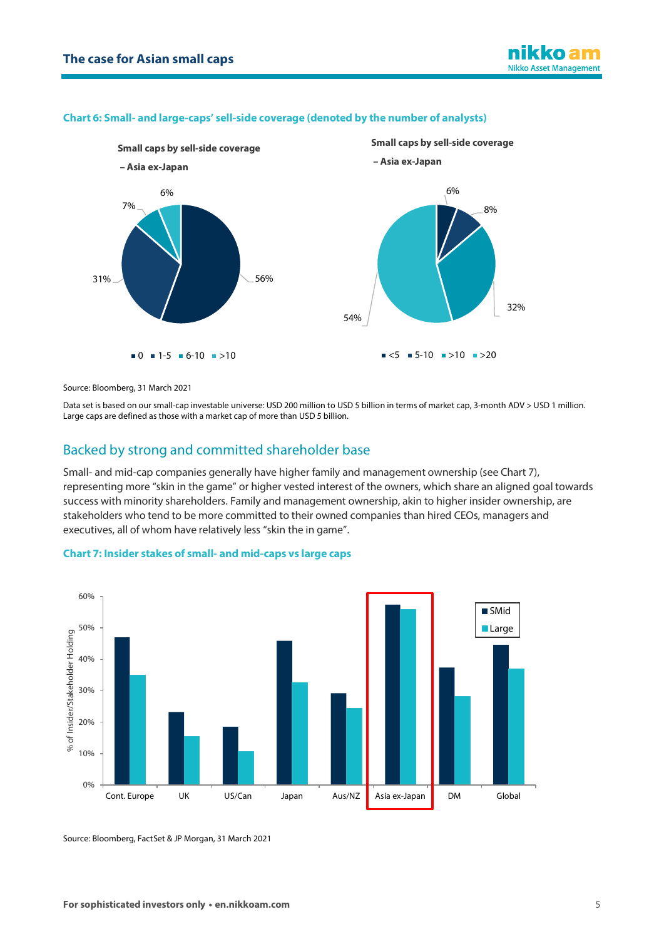#### **Chart 6: Small- and large-caps' sell-side coverage (denoted by the number of analysts)**



Source: Bloomberg, 31 March 2021

Data set is based on our small-cap investable universe: USD 200 million to USD 5 billion in terms of market cap, 3-month ADV > USD 1 million. Large caps are defined as those with a market cap of more than USD 5 billion.

### Backed by strong and committed shareholder base

Small- and mid-cap companies generally have higher family and management ownership (see Chart 7), representing more "skin in the game" or higher vested interest of the owners, which share an aligned goal towards success with minority shareholders. Family and management ownership, akin to higher insider ownership, are stakeholders who tend to be more committed to their owned companies than hired CEOs, managers and executives, all of whom have relatively less "skin the in game".



#### **Chart 7: Insider stakes of small- and mid-caps vs large caps**

Source: Bloomberg, FactSet & JP Morgan, 31 March 2021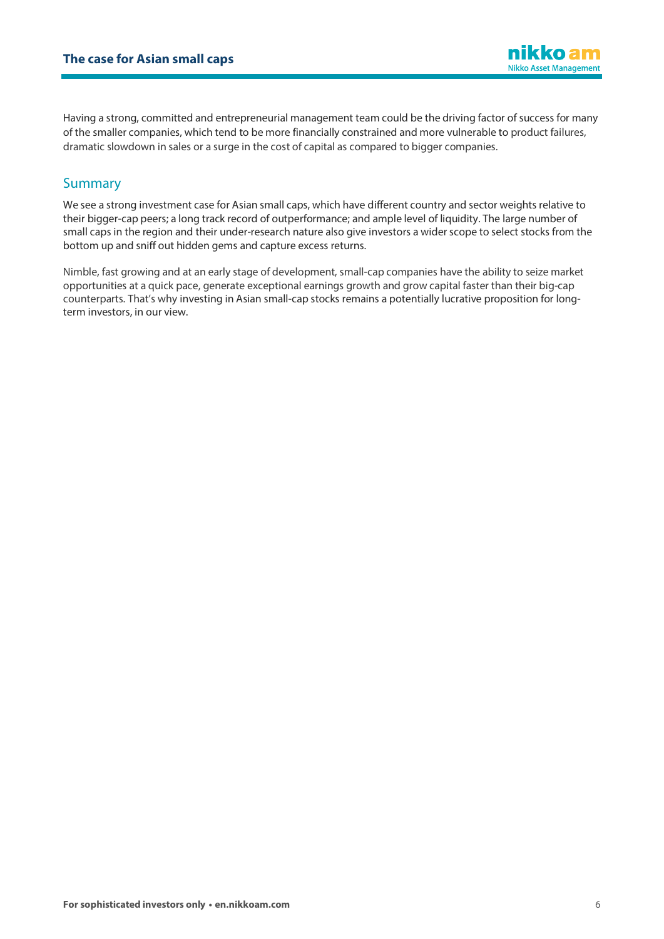nikko am **Nikko Asset Management** 

Having a strong, committed and entrepreneurial management team could be the driving factor of success for many of the smaller companies, which tend to be more financially constrained and more vulnerable to product failures, dramatic slowdown in sales or a surge in the cost of capital as compared to bigger companies.

## **Summary**

We see a strong investment case for Asian small caps, which have different country and sector weights relative to their bigger-cap peers; a long track record of outperformance; and ample level of liquidity. The large number of small caps in the region and their under-research nature also give investors a wider scope to select stocks from the bottom up and sniff out hidden gems and capture excess returns.

Nimble, fast growing and at an early stage of development, small-cap companies have the ability to seize market opportunities at a quick pace, generate exceptional earnings growth and grow capital faster than their big-cap counterparts. That's why investing in Asian small-cap stocks remains a potentially lucrative proposition for longterm investors, in our view.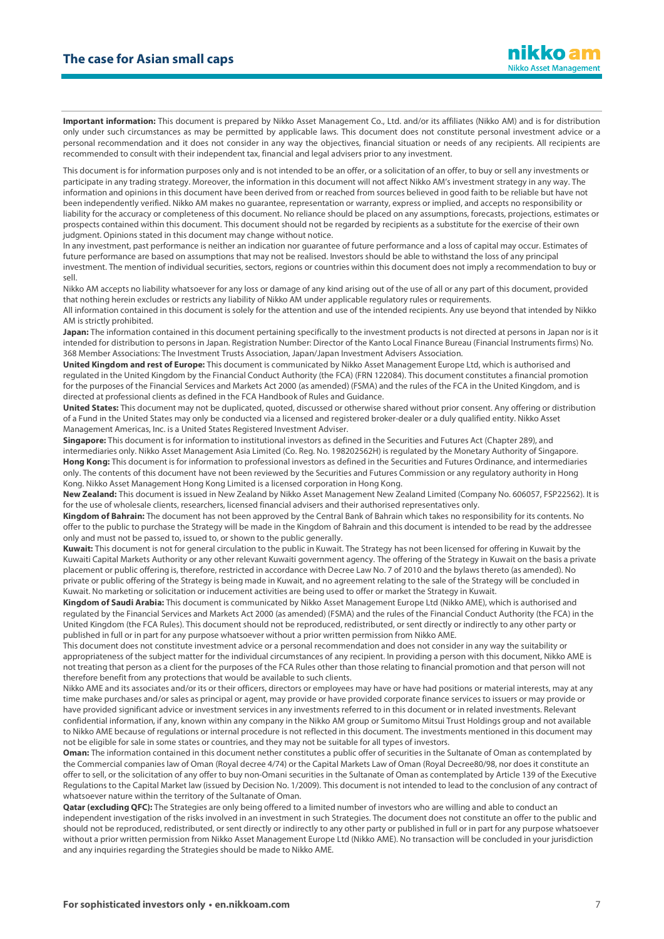**Important information:** This document is prepared by Nikko Asset Management Co., Ltd. and/or its affiliates (Nikko AM) and is for distribution only under such circumstances as may be permitted by applicable laws. This document does not constitute personal investment advice or a personal recommendation and it does not consider in any way the objectives, financial situation or needs of any recipients. All recipients are recommended to consult with their independent tax, financial and legal advisers prior to any investment.

This document is for information purposes only and is not intended to be an offer, or a solicitation of an offer, to buy or sell any investments or participate in any trading strategy. Moreover, the information in this document will not affect Nikko AM's investment strategy in any way. The information and opinions in this document have been derived from or reached from sources believed in good faith to be reliable but have not been independently verified. Nikko AM makes no guarantee, representation or warranty, express or implied, and accepts no responsibility or liability for the accuracy or completeness of this document. No reliance should be placed on any assumptions, forecasts, projections, estimates or prospects contained within this document. This document should not be regarded by recipients as a substitute for the exercise of their own judgment. Opinions stated in this document may change without notice.

In any investment, past performance is neither an indication nor guarantee of future performance and a loss of capital may occur. Estimates of future performance are based on assumptions that may not be realised. Investors should be able to withstand the loss of any principal investment. The mention of individual securities, sectors, regions or countries within this document does not imply a recommendation to buy or sell.

Nikko AM accepts no liability whatsoever for any loss or damage of any kind arising out of the use of all or any part of this document, provided that nothing herein excludes or restricts any liability of Nikko AM under applicable regulatory rules or requirements.

All information contained in this document is solely for the attention and use of the intended recipients. Any use beyond that intended by Nikko AM is strictly prohibited.

**Japan:** The information contained in this document pertaining specifically to the investment products is not directed at persons in Japan nor is it intended for distribution to persons in Japan. Registration Number: Director of the Kanto Local Finance Bureau (Financial Instruments firms) No. 368 Member Associations: The Investment Trusts Association, Japan/Japan Investment Advisers Association.

**United Kingdom and rest of Europe:** This document is communicated by Nikko Asset Management Europe Ltd, which is authorised and regulated in the United Kingdom by the Financial Conduct Authority (the FCA) (FRN 122084). This document constitutes a financial promotion for the purposes of the Financial Services and Markets Act 2000 (as amended) (FSMA) and the rules of the FCA in the United Kingdom, and is directed at professional clients as defined in the FCA Handbook of Rules and Guidance.

**United States:** This document may not be duplicated, quoted, discussed or otherwise shared without prior consent. Any offering or distribution of a Fund in the United States may only be conducted via a licensed and registered broker-dealer or a duly qualified entity. Nikko Asset Management Americas, Inc. is a United States Registered Investment Adviser.

**Singapore:** This document is for information to institutional investors as defined in the Securities and Futures Act (Chapter 289), and intermediaries only. Nikko Asset Management Asia Limited (Co. Reg. No. 198202562H) is regulated by the Monetary Authority of Singapore. **Hong Kong:** This document is for information to professional investors as defined in the Securities and Futures Ordinance, and intermediaries only. The contents of this document have not been reviewed by the Securities and Futures Commission or any regulatory authority in Hong Kong. Nikko Asset Management Hong Kong Limited is a licensed corporation in Hong Kong.

**New Zealand:** This document is issued in New Zealand by Nikko Asset Management New Zealand Limited (Company No. 606057, FSP22562). It is for the use of wholesale clients, researchers, licensed financial advisers and their authorised representatives only.

**Kingdom of Bahrain:** The document has not been approved by the Central Bank of Bahrain which takes no responsibility for its contents. No offer to the public to purchase the Strategy will be made in the Kingdom of Bahrain and this document is intended to be read by the addressee only and must not be passed to, issued to, or shown to the public generally.

**Kuwait:** This document is not for general circulation to the public in Kuwait. The Strategy has not been licensed for offering in Kuwait by the Kuwaiti Capital Markets Authority or any other relevant Kuwaiti government agency. The offering of the Strategy in Kuwait on the basis a private placement or public offering is, therefore, restricted in accordance with Decree Law No. 7 of 2010 and the bylaws thereto (as amended). No private or public offering of the Strategy is being made in Kuwait, and no agreement relating to the sale of the Strategy will be concluded in Kuwait. No marketing or solicitation or inducement activities are being used to offer or market the Strategy in Kuwait.

**Kingdom of Saudi Arabia:** This document is communicated by Nikko Asset Management Europe Ltd (Nikko AME), which is authorised and regulated by the Financial Services and Markets Act 2000 (as amended) (FSMA) and the rules of the Financial Conduct Authority (the FCA) in the United Kingdom (the FCA Rules). This document should not be reproduced, redistributed, or sent directly or indirectly to any other party or published in full or in part for any purpose whatsoever without a prior written permission from Nikko AME.

This document does not constitute investment advice or a personal recommendation and does not consider in any way the suitability or appropriateness of the subject matter for the individual circumstances of any recipient. In providing a person with this document, Nikko AME is not treating that person as a client for the purposes of the FCA Rules other than those relating to financial promotion and that person will not therefore benefit from any protections that would be available to such clients.

Nikko AME and its associates and/or its or their officers, directors or employees may have or have had positions or material interests, may at any time make purchases and/or sales as principal or agent, may provide or have provided corporate finance services to issuers or may provide or have provided significant advice or investment services in any investments referred to in this document or in related investments. Relevant confidential information, if any, known within any company in the Nikko AM group or Sumitomo Mitsui Trust Holdings group and not available to Nikko AME because of regulations or internal procedure is not reflected in this document. The investments mentioned in this document may not be eligible for sale in some states or countries, and they may not be suitable for all types of investors.

**Oman:** The information contained in this document nether constitutes a public offer of securities in the Sultanate of Oman as contemplated by the Commercial companies law of Oman (Royal decree 4/74) or the Capital Markets Law of Oman (Royal Decree80/98, nor does it constitute an offer to sell, or the solicitation of any offer to buy non-Omani securities in the Sultanate of Oman as contemplated by Article 139 of the Executive Regulations to the Capital Market law (issued by Decision No. 1/2009). This document is not intended to lead to the conclusion of any contract of whatsoever nature within the territory of the Sultanate of Oman.

Qatar (excluding QFC): The Strategies are only being offered to a limited number of investors who are willing and able to conduct an independent investigation of the risks involved in an investment in such Strategies. The document does not constitute an offer to the public and should not be reproduced, redistributed, or sent directly or indirectly to any other party or published in full or in part for any purpose whatsoever without a prior written permission from Nikko Asset Management Europe Ltd (Nikko AME). No transaction will be concluded in your jurisdiction and any inquiries regarding the Strategies should be made to Nikko AME.